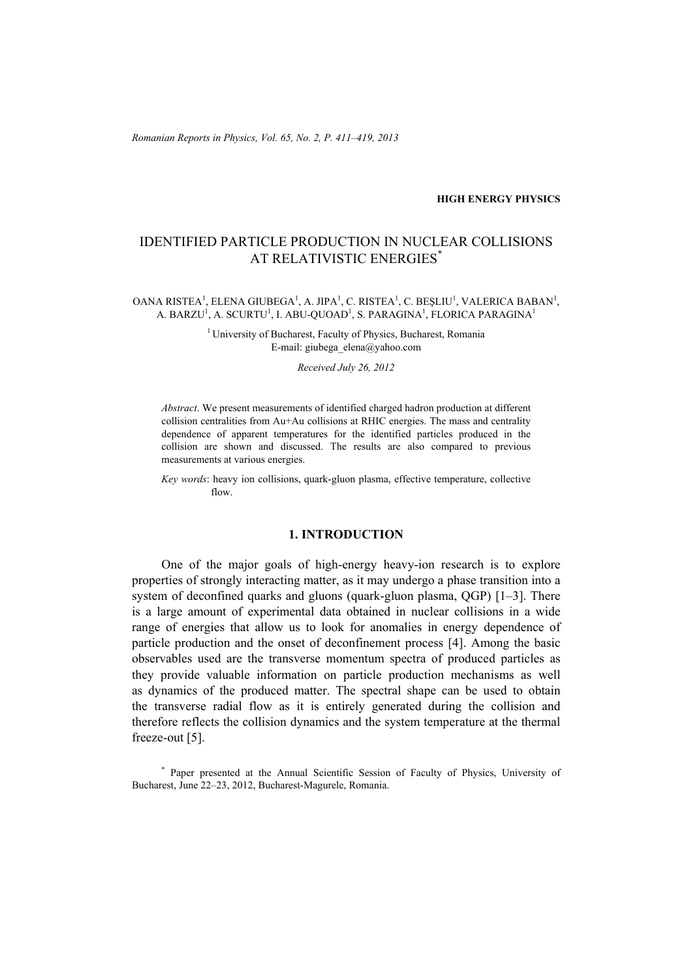*Romanian Reports in Physics, Vol. 65, No. 2, P. 411–419, 2013*

#### **HIGH ENERGY PHYSICS**

# IDENTIFIED PARTICLE PRODUCTION IN NUCLEAR COLLISIONS AT RELATIVISTIC ENERGIES\*

## OANA RISTEA<sup>1</sup>, ELENA GIUBEGA<sup>1</sup>, A. JIPA<sup>1</sup>, C. RISTEA<sup>1</sup>, C. BEŞLIU<sup>1</sup>, VALERICA BABAN<sup>1</sup>, A. BARZU<sup>1</sup>, A. SCURTU<sup>1</sup>, I. ABU-QUOAD<sup>1</sup>, S. PARAGINA<sup>1</sup>, FLORICA PARAGINA<sup>1</sup>

<sup>1</sup> University of Bucharest, Faculty of Physics, Bucharest, Romania E-mail: giubega\_elena@yahoo.com

*Received July 26, 2012* 

*Abstract*. We present measurements of identified charged hadron production at different collision centralities from Au+Au collisions at RHIC energies. The mass and centrality dependence of apparent temperatures for the identified particles produced in the collision are shown and discussed. The results are also compared to previous measurements at various energies.

*Key words*: heavy ion collisions, quark-gluon plasma, effective temperature, collective flow.

### **1. INTRODUCTION**

One of the major goals of high-energy heavy-ion research is to explore properties of strongly interacting matter, as it may undergo a phase transition into a system of deconfined quarks and gluons (quark-gluon plasma, QGP) [1–3]. There is a large amount of experimental data obtained in nuclear collisions in a wide range of energies that allow us to look for anomalies in energy dependence of particle production and the onset of deconfinement process [4]. Among the basic observables used are the transverse momentum spectra of produced particles as they provide valuable information on particle production mechanisms as well as dynamics of the produced matter. The spectral shape can be used to obtain the transverse radial flow as it is entirely generated during the collision and therefore reflects the collision dynamics and the system temperature at the thermal freeze-out [5].

\* Paper presented at the Annual Scientific Session of Faculty of Physics, University of Bucharest, June 22–23, 2012, Bucharest-Magurele, Romania.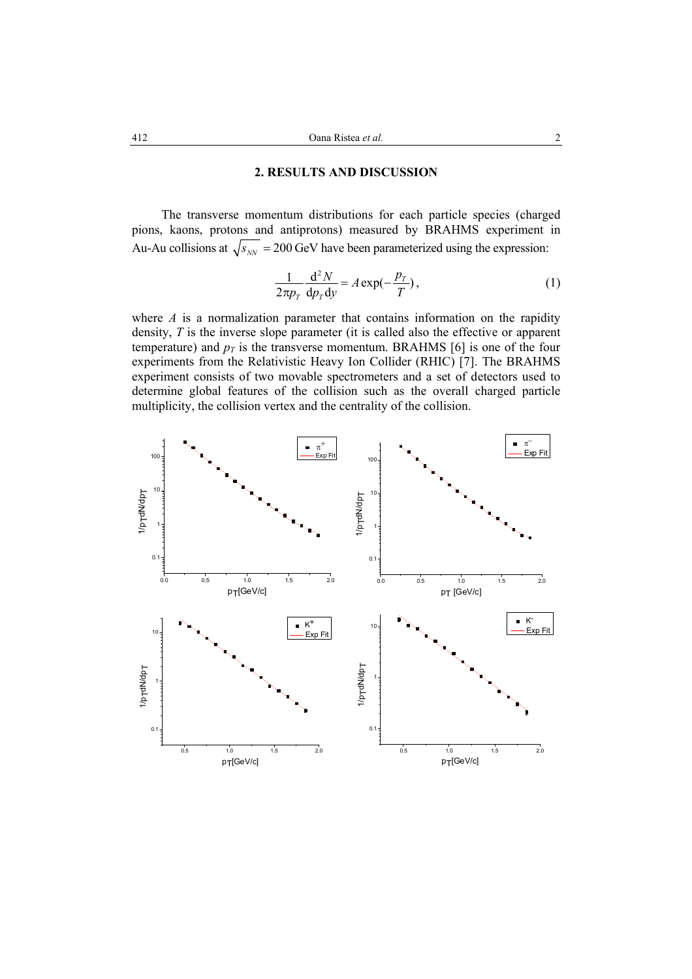# **2. RESULTS AND DISCUSSION**

The transverse momentum distributions for each particle species (charged pions, kaons, protons and antiprotons) measured by BRAHMS experiment in Au-Au collisions at  $\sqrt{s_{NN}}$  = 200 GeV have been parameterized using the expression:

$$
\frac{1}{2\pi p_T} \frac{\mathrm{d}^2 N}{\mathrm{d}p_T \mathrm{d}y} = A \exp(-\frac{p_T}{T}),\tag{1}
$$

where *A* is a normalization parameter that contains information on the rapidity density, *T* is the inverse slope parameter (it is called also the effective or apparent temperature) and  $p_T$  is the transverse momentum. BRAHMS [6] is one of the four experiments from the Relativistic Heavy Ion Collider (RHIC) [7]. The BRAHMS experiment consists of two movable spectrometers and a set of detectors used to determine global features of the collision such as the overall charged particle multiplicity, the collision vertex and the centrality of the collision.

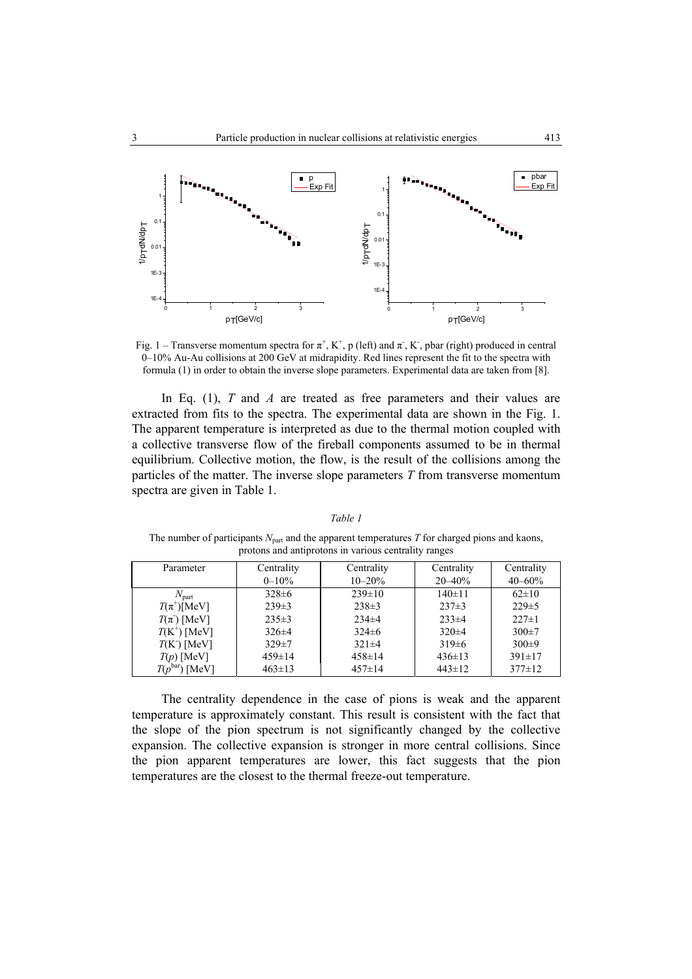

Fig. 1 – Transverse momentum spectra for  $\pi^+$ , K<sup>+</sup>, p (left) and  $\pi$ , K<sup>-</sup>, pbar (right) produced in central 0–10% Au-Au collisions at 200 GeV at midrapidity. Red lines represent the fit to the spectra with formula (1) in order to obtain the inverse slope parameters. Experimental data are taken from [8].

In Eq. (1), *T* and *A* are treated as free parameters and their values are extracted from fits to the spectra. The experimental data are shown in the Fig. 1. The apparent temperature is interpreted as due to the thermal motion coupled with a collective transverse flow of the fireball components assumed to be in thermal equilibrium. Collective motion, the flow, is the result of the collisions among the particles of the matter. The inverse slope parameters *T* from transverse momentum spectra are given in Table 1.

|--|--|

The number of participants  $N_{part}$  and the apparent temperatures  $T$  for charged pions and kaons, protons and antiprotons in various centrality ranges

| Parameter          | Centrality<br>$0 - 10\%$ | Centrality<br>$10 - 20%$ | Centrality<br>$20 - 40%$ | Centrality<br>$40 - 60%$ |
|--------------------|--------------------------|--------------------------|--------------------------|--------------------------|
| $N_{\text{part}}$  | $328 \pm 6$              | $239\pm10$               | $140 \pm 11$             | $62\pm10$                |
| $T(\pi^+)$ [MeV]   | $239\pm3$                | $238\pm3$                | $237\pm3$                | $229 \pm 5$              |
| $T(\pi)$ [MeV]     | $235\pm3$                | $234\pm4$                | $233\pm4$                | $227 \pm 1$              |
| $T(K^+)$ [MeV]     | $326\pm4$                | $324\pm 6$               | $320 \pm 4$              | $300 \pm 7$              |
| $T(K^-)$ [MeV]     | $329 \pm 7$              | $321\pm4$                | $319\pm 6$               | $300+9$                  |
| $T(p)$ [MeV]       | $459 \pm 14$             | $458 \pm 14$             | $436 \pm 13$             | $391 \pm 17$             |
| $T(p^{bar})$ [MeV] | $463 \pm 13$             | $457 \pm 14$             | $443 \pm 12$             | $377\pm12$               |

The centrality dependence in the case of pions is weak and the apparent temperature is approximately constant. This result is consistent with the fact that the slope of the pion spectrum is not significantly changed by the collective expansion. The collective expansion is stronger in more central collisions. Since the pion apparent temperatures are lower, this fact suggests that the pion temperatures are the closest to the thermal freeze-out temperature.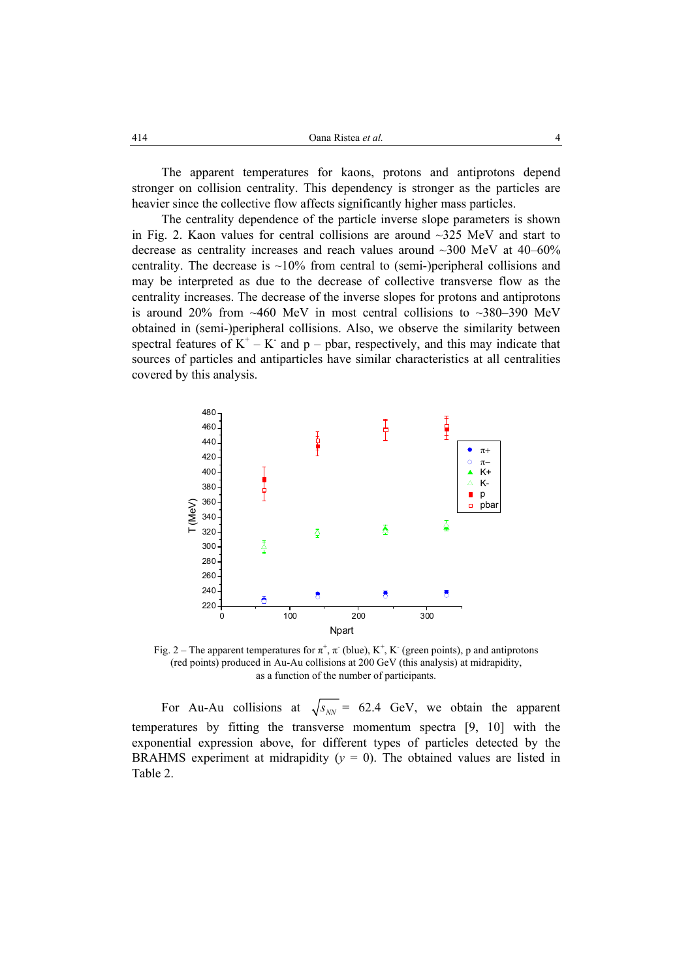The apparent temperatures for kaons, protons and antiprotons depend stronger on collision centrality. This dependency is stronger as the particles are heavier since the collective flow affects significantly higher mass particles.

The centrality dependence of the particle inverse slope parameters is shown in Fig. 2. Kaon values for central collisions are around  $\sim$ 325 MeV and start to decrease as centrality increases and reach values around ~300 MeV at 40–60% centrality. The decrease is  $\sim 10\%$  from central to (semi-)peripheral collisions and may be interpreted as due to the decrease of collective transverse flow as the centrality increases. The decrease of the inverse slopes for protons and antiprotons is around 20% from  $\sim$ 460 MeV in most central collisions to  $\sim$ 380–390 MeV obtained in (semi-)peripheral collisions. Also, we observe the similarity between spectral features of  $K^+ - K^-$  and  $p -$  pbar, respectively, and this may indicate that sources of particles and antiparticles have similar characteristics at all centralities covered by this analysis.



Fig. 2 – The apparent temperatures for  $\pi^+$ ,  $\pi^-$  (blue), K<sup>+</sup>, K<sup>-</sup> (green points), p and antiprotons (red points) produced in Au-Au collisions at 200 GeV (this analysis) at midrapidity, as a function of the number of participants.

For Au-Au collisions at  $\sqrt{s_{NN}}$  = 62.4 GeV, we obtain the apparent temperatures by fitting the transverse momentum spectra [9, 10] with the exponential expression above, for different types of particles detected by the BRAHMS experiment at midrapidity  $(y = 0)$ . The obtained values are listed in Table 2.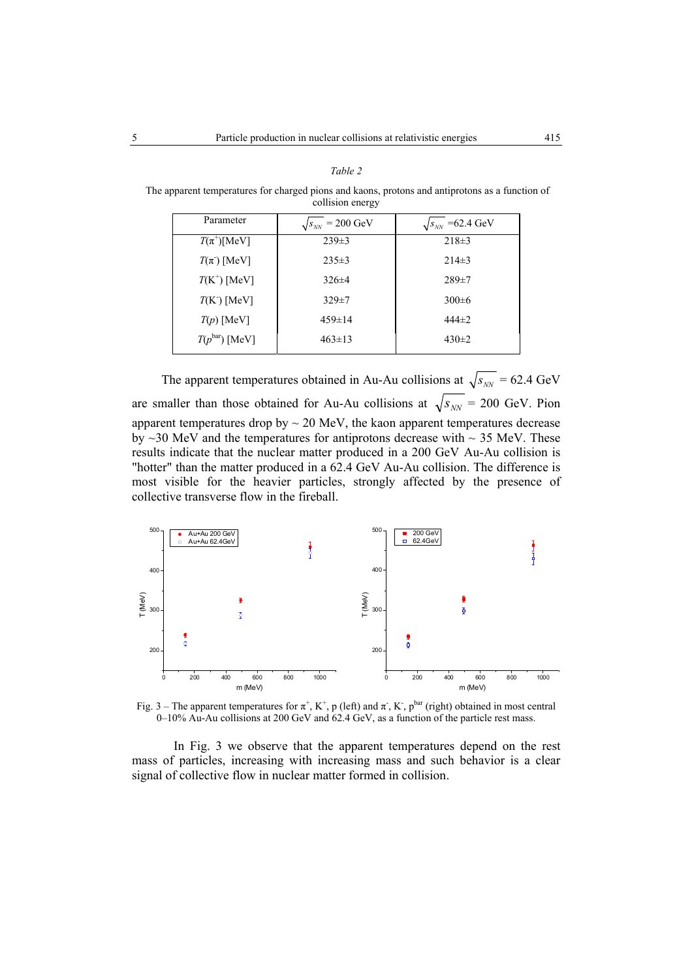| <sub>DJ</sub>      |                           |                           |  |
|--------------------|---------------------------|---------------------------|--|
| Parameter          | $\sqrt{s_{NN}}$ = 200 GeV | $\sqrt{s_{NN}}$ =62.4 GeV |  |
| $T(\pi^+)$ [MeV]   | $239 \pm 3$               | $218 \pm 3$               |  |
| $T(\pi)$ [MeV]     | $235 \pm 3$               | $214\pm3$                 |  |
| $T(K^+)$ [MeV]     | $326\pm4$                 | $289 \pm 7$               |  |
| $T(K)$ [MeV]       | $329 \pm 7$               | $300 \pm 6$               |  |
| $T(p)$ [MeV]       | $459 \pm 14$              | $444\pm 2$                |  |
| $T(p^{bar})$ [MeV] | $463 \pm 13$              | $430 \pm 2$               |  |
|                    |                           |                           |  |

*Table 2*

 The apparent temperatures for charged pions and kaons, protons and antiprotons as a function of .<br>collision energy

The apparent temperatures obtained in Au-Au collisions at  $\sqrt{s_{NN}}$  = 62.4 GeV are smaller than those obtained for Au-Au collisions at  $\sqrt{s_{NN}}$  = 200 GeV. Pion apparent temperatures drop by  $\sim 20$  MeV, the kaon apparent temperatures decrease by  $\sim$ 30 MeV and the temperatures for antiprotons decrease with  $\sim$  35 MeV. These results indicate that the nuclear matter produced in a 200 GeV Au-Au collision is "hotter" than the matter produced in a 62.4 GeV Au-Au collision. The difference is most visible for the heavier particles, strongly affected by the presence of collective transverse flow in the fireball.



Fig. 3 – The apparent temperatures for  $\pi^+$ , K<sup>+</sup>, p (left) and  $\pi$ , K<sup>-</sup>, p<sup>bar</sup> (right) obtained in most central 0–10% Au-Au collisions at 200 GeV and 62.4 GeV, as a function of the particle rest mass.

In Fig. 3 we observe that the apparent temperatures depend on the rest mass of particles, increasing with increasing mass and such behavior is a clear signal of collective flow in nuclear matter formed in collision.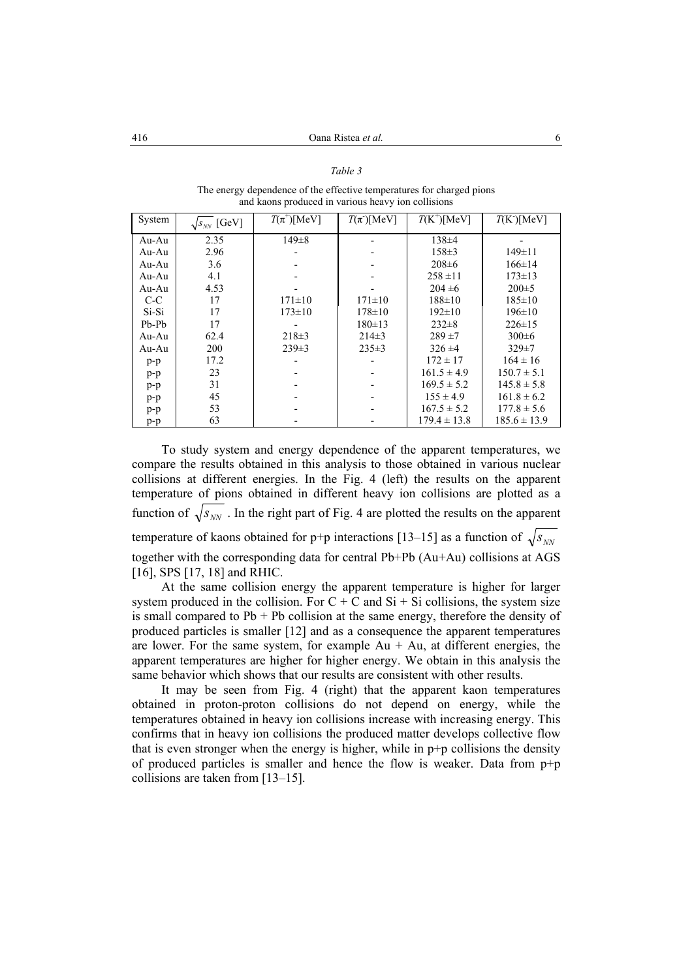| ,,<br>,, |  |
|----------|--|
|----------|--|

The energy dependence of the effective temperatures for charged pions and kaons produced in various heavy ion collisions

| System  | $\sqrt{s_{NN}}$ [GeV] | $T(\pi^+)$ [MeV] | $T(\pi)[\text{MeV}]$ | $T(K^+)$ [MeV]   | T(K <sup>2</sup> )[MeV] |
|---------|-----------------------|------------------|----------------------|------------------|-------------------------|
| Au-Au   | 2.35                  | $149 \pm 8$      |                      | $138\pm4$        |                         |
| Au-Au   | 2.96                  |                  |                      | $158 \pm 3$      | $149 \pm 11$            |
| Au-Au   | 3.6                   |                  |                      | $208 \pm 6$      | $166 \pm 14$            |
| Au-Au   | 4.1                   |                  |                      | $258 \pm 11$     | $173 \pm 13$            |
| Au-Au   | 4.53                  |                  |                      | $204 \pm 6$      | $200 \pm 5$             |
| $C-C$   | 17                    | $171 \pm 10$     | $171 \pm 10$         | $188 \pm 10$     | $185 \pm 10$            |
| Si-Si   | 17                    | $173 \pm 10$     | $178 \pm 10$         | $192 \pm 10$     | $196 \pm 10$            |
| $Pb-Pb$ | 17                    |                  | $180 \pm 13$         | $232 \pm 8$      | $226 \pm 15$            |
| Au-Au   | 62.4                  | $218 \pm 3$      | $214\pm3$            | $289 + 7$        | $300 \pm 6$             |
| Au-Au   | <b>200</b>            | $239 \pm 3$      | $235 \pm 3$          | $326 \pm 4$      | $329 \pm 7$             |
| $p-p$   | 17.2                  |                  |                      | $172 \pm 17$     | $164 \pm 16$            |
| $p-p$   | 23                    |                  |                      | $161.5 \pm 4.9$  | $150.7 \pm 5.1$         |
| $p-p$   | 31                    |                  |                      | $169.5 \pm 5.2$  | $145.8 \pm 5.8$         |
| $p-p$   | 45                    |                  |                      | $155 \pm 4.9$    | $161.8 \pm 6.2$         |
| $p-p$   | 53                    |                  |                      | $167.5 \pm 5.2$  | $177.8 \pm 5.6$         |
| $p-p$   | 63                    |                  |                      | $179.4 \pm 13.8$ | $185.6 \pm 13.9$        |

To study system and energy dependence of the apparent temperatures, we compare the results obtained in this analysis to those obtained in various nuclear collisions at different energies. In the Fig. 4 (left) the results on the apparent temperature of pions obtained in different heavy ion collisions are plotted as a function of  $\sqrt{s_{NN}}$ . In the right part of Fig. 4 are plotted the results on the apparent temperature of kaons obtained for p+p interactions [13–15] as a function of  $\sqrt{s_{NN}}$ together with the corresponding data for central Pb+Pb (Au+Au) collisions at AGS [16], SPS [17, 18] and RHIC.

At the same collision energy the apparent temperature is higher for larger system produced in the collision. For  $C + C$  and  $Si + Si$  collisions, the system size is small compared to  $Pb + Pb$  collision at the same energy, therefore the density of produced particles is smaller [12] and as a consequence the apparent temperatures are lower. For the same system, for example  $Au + Au$ , at different energies, the apparent temperatures are higher for higher energy. We obtain in this analysis the same behavior which shows that our results are consistent with other results.

It may be seen from Fig. 4 (right) that the apparent kaon temperatures obtained in proton-proton collisions do not depend on energy, while the temperatures obtained in heavy ion collisions increase with increasing energy. This confirms that in heavy ion collisions the produced matter develops collective flow that is even stronger when the energy is higher, while in  $p+p$  collisions the density of produced particles is smaller and hence the flow is weaker. Data from  $p+p$ collisions are taken from [13–15].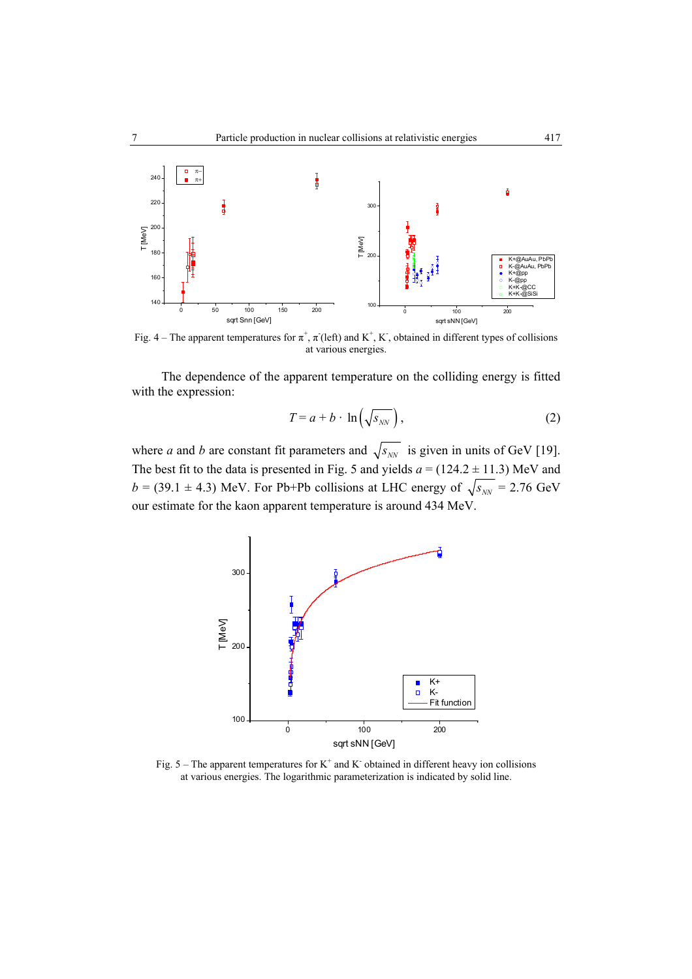

Fig. 4 – The apparent temperatures for  $\pi^+$ ,  $\pi$  (left) and K<sup>+</sup>, K<sup>-</sup>, obtained in different types of collisions at various energies.

The dependence of the apparent temperature on the colliding energy is fitted with the expression:

$$
T = a + b \cdot \ln\left(\sqrt{s_{NN}}\right),\tag{2}
$$

where *a* and *b* are constant fit parameters and  $\sqrt{s_{NN}}$  is given in units of GeV [19]. The best fit to the data is presented in Fig. 5 and yields  $a = (124.2 \pm 11.3)$  MeV and  $b = (39.1 \pm 4.3)$  MeV. For Pb+Pb collisions at LHC energy of  $\sqrt{s_{NN}} = 2.76$  GeV our estimate for the kaon apparent temperature is around 434 MeV.



Fig. 5 – The apparent temperatures for  $K^+$  and K obtained in different heavy ion collisions at various energies. The logarithmic parameterization is indicated by solid line.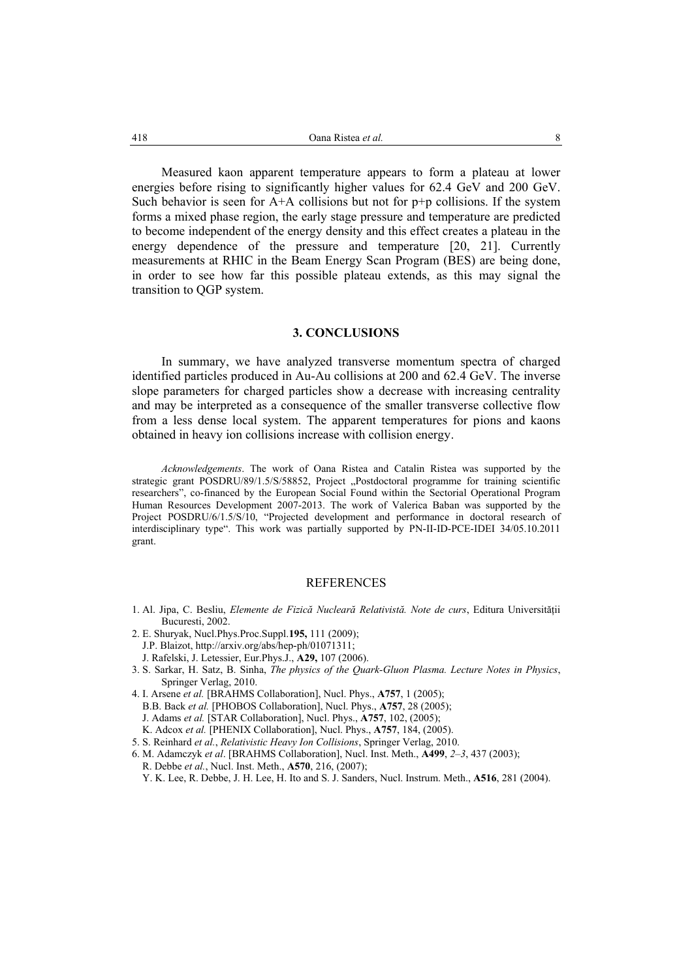Measured kaon apparent temperature appears to form a plateau at lower energies before rising to significantly higher values for 62.4 GeV and 200 GeV. Such behavior is seen for  $A+A$  collisions but not for  $p+p$  collisions. If the system forms a mixed phase region, the early stage pressure and temperature are predicted to become independent of the energy density and this effect creates a plateau in the energy dependence of the pressure and temperature [20, 21]. Currently measurements at RHIC in the Beam Energy Scan Program (BES) are being done, in order to see how far this possible plateau extends, as this may signal the transition to QGP system.

### **3. CONCLUSIONS**

In summary, we have analyzed transverse momentum spectra of charged identified particles produced in Au-Au collisions at 200 and 62.4 GeV. The inverse slope parameters for charged particles show a decrease with increasing centrality and may be interpreted as a consequence of the smaller transverse collective flow from a less dense local system. The apparent temperatures for pions and kaons obtained in heavy ion collisions increase with collision energy.

*Acknowledgements*. The work of Oana Ristea and Catalin Ristea was supported by the strategic grant POSDRU/89/1.5/S/58852, Project "Postdoctoral programme for training scientific researchers", co-financed by the European Social Found within the Sectorial Operational Program Human Resources Development 2007-2013. The work of Valerica Baban was supported by the Project POSDRU/6/1.5/S/10, "Projected development and performance in doctoral research of interdisciplinary type". This work was partially supported by PN-II-ID-PCE-IDEI 34/05.10.2011 grant.

#### **REFERENCES**

- 1. Al. Jipa, C. Besliu, *Elemente de Fizică Nucleară Relativistă. Note de curs*, Editura Universităţii Bucuresti, 2002.
- 2. E. Shuryak, Nucl.Phys.Proc.Suppl.**195,** 111 (2009); J.P. Blaizot, http://arxiv.org/abs/hep-ph/01071311;
	- J. Rafelski, J. Letessier, Eur.Phys.J., **A29,** 107 (2006).
- 3. S. Sarkar, H. Satz, B. Sinha, *The physics of the Quark-Gluon Plasma. Lecture Notes in Physics*, Springer Verlag, 2010.
- 4. I. Arsene *et al.* [BRAHMS Collaboration], Nucl. Phys., **A757**, 1 (2005); B.B. Back *et al.* [PHOBOS Collaboration], Nucl. Phys., **A757**, 28 (2005); J. Adams *et al.* [STAR Collaboration], Nucl. Phys., **A757**, 102, (2005); K. Adcox *et al.* [PHENIX Collaboration], Nucl. Phys., **A757**, 184, (2005).
- 5. S. Reinhard *et al.*, *Relativistic Heavy Ion Collisions*, Springer Verlag, 2010.
- 6. M. Adamczyk *et al*. [BRAHMS Collaboration], Nucl. Inst. Meth., **A499**, *2–3*, 437 (2003); R. Debbe *et al.*, Nucl. Inst. Meth., **A570**, 216, (2007);
- Y. K. Lee, R. Debbe, J. H. Lee, H. Ito and S. J. Sanders, Nucl. Instrum. Meth., **A516**, 281 (2004).